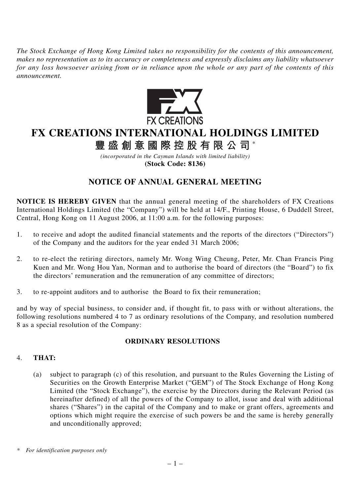*The Stock Exchange of Hong Kong Limited takes no responsibility for the contents of this announcement, makes no representation as to its accuracy or completeness and expressly disclaims any liability whatsoever for any loss howsoever arising from or in reliance upon the whole or any part of the contents of this announcement.*



# **FX CREATIONS INTERNATIONAL HOLDINGS LIMITED**

**豐盛創意國際控股有限公司** \*

*(incorporated in the Cayman Islands with limited liability)* **(Stock Code: 8136)**

## **NOTICE OF ANNUAL GENERAL MEETING**

**NOTICE IS HEREBY GIVEN** that the annual general meeting of the shareholders of FX Creations International Holdings Limited (the "Company") will be held at 14/F., Printing House, 6 Duddell Street, Central, Hong Kong on 11 August 2006, at 11:00 a.m. for the following purposes:

- 1. to receive and adopt the audited financial statements and the reports of the directors ("Directors") of the Company and the auditors for the year ended 31 March 2006;
- 2. to re-elect the retiring directors, namely Mr. Wong Wing Cheung, Peter, Mr. Chan Francis Ping Kuen and Mr. Wong Hou Yan, Norman and to authorise the board of directors (the "Board") to fix the directors' remuneration and the remuneration of any committee of directors;
- 3. to re-appoint auditors and to authorise the Board to fix their remuneration;

and by way of special business, to consider and, if thought fit, to pass with or without alterations, the following resolutions numbered 4 to 7 as ordinary resolutions of the Company, and resolution numbered 8 as a special resolution of the Company:

#### **ORDINARY RESOLUTIONS**

## 4. **THAT:**

(a) subject to paragraph (c) of this resolution, and pursuant to the Rules Governing the Listing of Securities on the Growth Enterprise Market ("GEM") of The Stock Exchange of Hong Kong Limited (the "Stock Exchange"), the exercise by the Directors during the Relevant Period (as hereinafter defined) of all the powers of the Company to allot, issue and deal with additional shares ("Shares") in the capital of the Company and to make or grant offers, agreements and options which might require the exercise of such powers be and the same is hereby generally and unconditionally approved;

*<sup>\*</sup> For identification purposes only*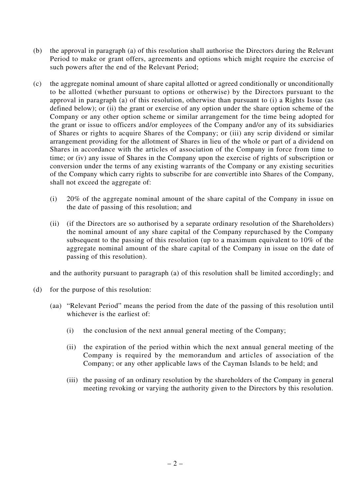- (b) the approval in paragraph (a) of this resolution shall authorise the Directors during the Relevant Period to make or grant offers, agreements and options which might require the exercise of such powers after the end of the Relevant Period;
- (c) the aggregate nominal amount of share capital allotted or agreed conditionally or unconditionally to be allotted (whether pursuant to options or otherwise) by the Directors pursuant to the approval in paragraph (a) of this resolution, otherwise than pursuant to (i) a Rights Issue (as defined below); or (ii) the grant or exercise of any option under the share option scheme of the Company or any other option scheme or similar arrangement for the time being adopted for the grant or issue to officers and/or employees of the Company and/or any of its subsidiaries of Shares or rights to acquire Shares of the Company; or (iii) any scrip dividend or similar arrangement providing for the allotment of Shares in lieu of the whole or part of a dividend on Shares in accordance with the articles of association of the Company in force from time to time; or (iv) any issue of Shares in the Company upon the exercise of rights of subscription or conversion under the terms of any existing warrants of the Company or any existing securities of the Company which carry rights to subscribe for are convertible into Shares of the Company, shall not exceed the aggregate of:
	- (i) 20% of the aggregate nominal amount of the share capital of the Company in issue on the date of passing of this resolution; and
	- (ii) (if the Directors are so authorised by a separate ordinary resolution of the Shareholders) the nominal amount of any share capital of the Company repurchased by the Company subsequent to the passing of this resolution (up to a maximum equivalent to 10% of the aggregate nominal amount of the share capital of the Company in issue on the date of passing of this resolution).

and the authority pursuant to paragraph (a) of this resolution shall be limited accordingly; and

- (d) for the purpose of this resolution:
	- (aa) "Relevant Period" means the period from the date of the passing of this resolution until whichever is the earliest of:
		- (i) the conclusion of the next annual general meeting of the Company;
		- (ii) the expiration of the period within which the next annual general meeting of the Company is required by the memorandum and articles of association of the Company; or any other applicable laws of the Cayman Islands to be held; and
		- (iii) the passing of an ordinary resolution by the shareholders of the Company in general meeting revoking or varying the authority given to the Directors by this resolution.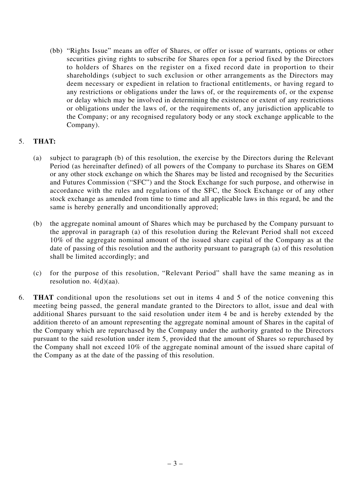(bb) "Rights Issue" means an offer of Shares, or offer or issue of warrants, options or other securities giving rights to subscribe for Shares open for a period fixed by the Directors to holders of Shares on the register on a fixed record date in proportion to their shareholdings (subject to such exclusion or other arrangements as the Directors may deem necessary or expedient in relation to fractional entitlements, or having regard to any restrictions or obligations under the laws of, or the requirements of, or the expense or delay which may be involved in determining the existence or extent of any restrictions or obligations under the laws of, or the requirements of, any jurisdiction applicable to the Company; or any recognised regulatory body or any stock exchange applicable to the Company).

### 5. **THAT:**

- (a) subject to paragraph (b) of this resolution, the exercise by the Directors during the Relevant Period (as hereinafter defined) of all powers of the Company to purchase its Shares on GEM or any other stock exchange on which the Shares may be listed and recognised by the Securities and Futures Commission ("SFC") and the Stock Exchange for such purpose, and otherwise in accordance with the rules and regulations of the SFC, the Stock Exchange or of any other stock exchange as amended from time to time and all applicable laws in this regard, be and the same is hereby generally and unconditionally approved;
- (b) the aggregate nominal amount of Shares which may be purchased by the Company pursuant to the approval in paragraph (a) of this resolution during the Relevant Period shall not exceed 10% of the aggregate nominal amount of the issued share capital of the Company as at the date of passing of this resolution and the authority pursuant to paragraph (a) of this resolution shall be limited accordingly; and
- (c) for the purpose of this resolution, "Relevant Period" shall have the same meaning as in resolution no. 4(d)(aa).
- 6. **THAT** conditional upon the resolutions set out in items 4 and 5 of the notice convening this meeting being passed, the general mandate granted to the Directors to allot, issue and deal with additional Shares pursuant to the said resolution under item 4 be and is hereby extended by the addition thereto of an amount representing the aggregate nominal amount of Shares in the capital of the Company which are repurchased by the Company under the authority granted to the Directors pursuant to the said resolution under item 5, provided that the amount of Shares so repurchased by the Company shall not exceed 10% of the aggregate nominal amount of the issued share capital of the Company as at the date of the passing of this resolution.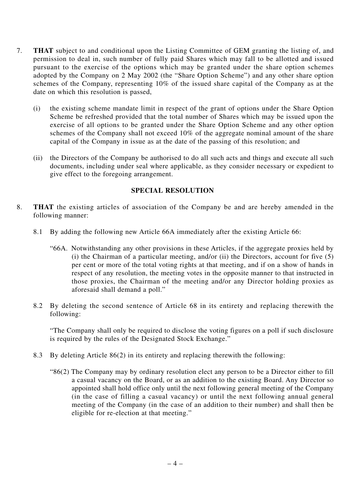- 7. **THAT** subject to and conditional upon the Listing Committee of GEM granting the listing of, and permission to deal in, such number of fully paid Shares which may fall to be allotted and issued pursuant to the exercise of the options which may be granted under the share option schemes adopted by the Company on 2 May 2002 (the "Share Option Scheme") and any other share option schemes of the Company, representing 10% of the issued share capital of the Company as at the date on which this resolution is passed,
	- (i) the existing scheme mandate limit in respect of the grant of options under the Share Option Scheme be refreshed provided that the total number of Shares which may be issued upon the exercise of all options to be granted under the Share Option Scheme and any other option schemes of the Company shall not exceed 10% of the aggregate nominal amount of the share capital of the Company in issue as at the date of the passing of this resolution; and
	- (ii) the Directors of the Company be authorised to do all such acts and things and execute all such documents, including under seal where applicable, as they consider necessary or expedient to give effect to the foregoing arrangement.

#### **SPECIAL RESOLUTION**

- 8. **THAT** the existing articles of association of the Company be and are hereby amended in the following manner:
	- 8.1 By adding the following new Article 66A immediately after the existing Article 66:
		- "66A. Notwithstanding any other provisions in these Articles, if the aggregate proxies held by (i) the Chairman of a particular meeting, and/or (ii) the Directors, account for five (5) per cent or more of the total voting rights at that meeting, and if on a show of hands in respect of any resolution, the meeting votes in the opposite manner to that instructed in those proxies, the Chairman of the meeting and/or any Director holding proxies as aforesaid shall demand a poll."
	- 8.2 By deleting the second sentence of Article 68 in its entirety and replacing therewith the following:

"The Company shall only be required to disclose the voting figures on a poll if such disclosure is required by the rules of the Designated Stock Exchange."

- 8.3 By deleting Article 86(2) in its entirety and replacing therewith the following:
	- "86(2) The Company may by ordinary resolution elect any person to be a Director either to fill a casual vacancy on the Board, or as an addition to the existing Board. Any Director so appointed shall hold office only until the next following general meeting of the Company (in the case of filling a casual vacancy) or until the next following annual general meeting of the Company (in the case of an addition to their number) and shall then be eligible for re-election at that meeting."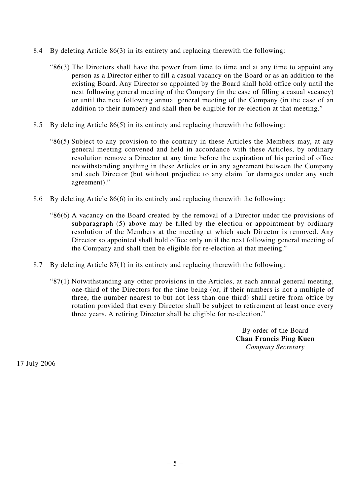- 8.4 By deleting Article 86(3) in its entirety and replacing therewith the following:
	- "86(3) The Directors shall have the power from time to time and at any time to appoint any person as a Director either to fill a casual vacancy on the Board or as an addition to the existing Board. Any Director so appointed by the Board shall hold office only until the next following general meeting of the Company (in the case of filling a casual vacancy) or until the next following annual general meeting of the Company (in the case of an addition to their number) and shall then be eligible for re-election at that meeting."
- 8.5 By deleting Article 86(5) in its entirety and replacing therewith the following:
	- "86(5) Subject to any provision to the contrary in these Articles the Members may, at any general meeting convened and held in accordance with these Articles, by ordinary resolution remove a Director at any time before the expiration of his period of office notwithstanding anything in these Articles or in any agreement between the Company and such Director (but without prejudice to any claim for damages under any such agreement)."
- 8.6 By deleting Article 86(6) in its entirely and replacing therewith the following:
	- "86(6) A vacancy on the Board created by the removal of a Director under the provisions of subparagraph (5) above may be filled by the election or appointment by ordinary resolution of the Members at the meeting at which such Director is removed. Any Director so appointed shall hold office only until the next following general meeting of the Company and shall then be eligible for re-election at that meeting."
- 8.7 By deleting Article 87(1) in its entirety and replacing therewith the following:
	- "87(1) Notwithstanding any other provisions in the Articles, at each annual general meeting, one-third of the Directors for the time being (or, if their numbers is not a multiple of three, the number nearest to but not less than one-third) shall retire from office by rotation provided that every Director shall be subject to retirement at least once every three years. A retiring Director shall be eligible for re-election."

By order of the Board **Chan Francis Ping Kuen** *Company Secretary*

17 July 2006